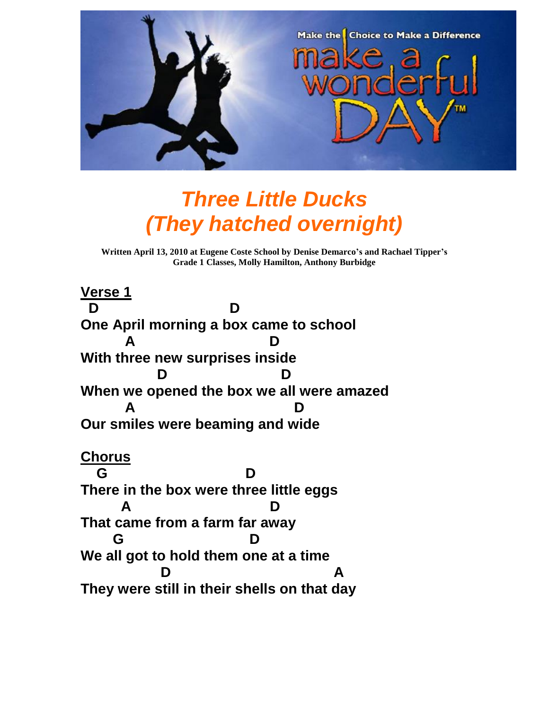

## *Three Little Ducks (They hatched overnight)*

**Written April 13, 2010 at Eugene Coste School by Denise Demarco's and Rachael Tipper's Grade 1 Classes, Molly Hamilton, Anthony Burbidge**

**Verse 1 D D One April morning a box came to school A D With three new surprises inside D D When we opened the box we all were amazed A D Our smiles were beaming and wide Chorus G D There in the box were three little eggs A D That came from a farm far away G D We all got to hold them one at a time D A They were still in their shells on that day**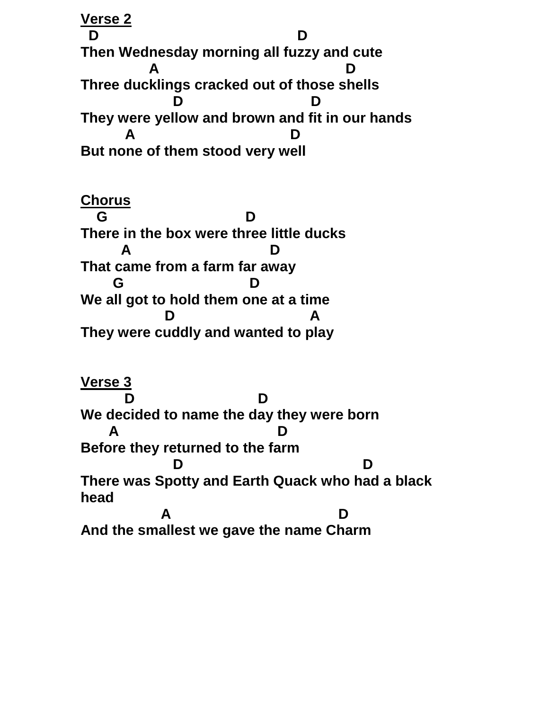**Verse 2 D D Then Wednesday morning all fuzzy and cute A D Three ducklings cracked out of those shells D D They were yellow and brown and fit in our hands A D But none of them stood very well**

**Chorus G D There in the box were three little ducks A D That came from a farm far away G D We all got to hold them one at a time D A They were cuddly and wanted to play**

**Verse 3 D D We decided to name the day they were born A D Before they returned to the farm D D There was Spotty and Earth Quack who had a black head A D And the smallest we gave the name Charm**